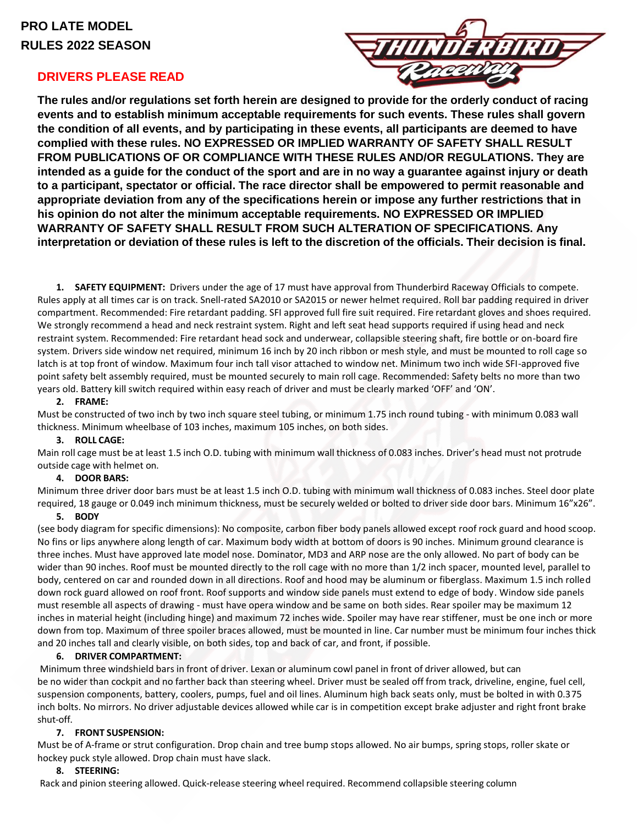# **PRO LATE MODEL RULES 2022 SEASON**

# **DRIVERS PLEASE READ**



**The rules and/or regulations set forth herein are designed to provide for the orderly conduct of racing events and to establish minimum acceptable requirements for such events. These rules shall govern the condition of all events, and by participating in these events, all participants are deemed to have complied with these rules. NO EXPRESSED OR IMPLIED WARRANTY OF SAFETY SHALL RESULT FROM PUBLICATIONS OF OR COMPLIANCE WITH THESE RULES AND/OR REGULATIONS. They are** intended as a guide for the conduct of the sport and are in no way a guarantee against injury or death **to a participant, spectator or official. The race director shall be empowered to permit reasonable and appropriate deviation from any of the specifications herein or impose any further restrictions that in his opinion do not alter the minimum acceptable requirements. NO EXPRESSED OR IMPLIED WARRANTY OF SAFETY SHALL RESULT FROM SUCH ALTERATION OF SPECIFICATIONS. Any** interpretation or deviation of these rules is left to the discretion of the officials. Their decision is final.

**1. SAFETY EQUIPMENT:** Drivers under the age of 17 must have approval from Thunderbird Raceway Officials to compete. Rules apply at all times car is on track. Snell-rated SA2010 or SA2015 or newer helmet required. Roll bar padding required in driver compartment. Recommended: Fire retardant padding. SFI approved full fire suit required. Fire retardant gloves and shoes required. We strongly recommend a head and neck restraint system. Right and left seat head supports required if using head and neck restraint system. Recommended: Fire retardant head sock and underwear, collapsible steering shaft, fire bottle or on-board fire system. Drivers side window net required, minimum 16 inch by 20 inch ribbon or mesh style, and must be mounted to roll cage so latch is at top front of window. Maximum four inch tall visor attached to window net. Minimum two inch wide SFI-approved five point safety belt assembly required, must be mounted securely to main roll cage. Recommended: Safety belts no more than two years old. Battery kill switch required within easy reach of driver and must be clearly marked 'OFF' and 'ON'.

# **2. FRAME:**

Must be constructed of two inch by two inch square steel tubing, or minimum 1.75 inch round tubing - with minimum 0.083 wall thickness. Minimum wheelbase of 103 inches, maximum 105 inches, on both sides.

# **3. ROLL CAGE:**

Main roll cage must be at least 1.5 inch O.D. tubing with minimum wall thickness of 0.083 inches. Driver's head must not protrude outside cage with helmet on.

## **4. DOOR BARS:**

Minimum three driver door bars must be at least 1.5 inch O.D. tubing with minimum wall thickness of 0.083 inches. Steel door plate required, 18 gauge or 0.049 inch minimum thickness, must be securely welded or bolted to driver side door bars. Minimum 16"x26".

## **5. BODY**

(see body diagram for specific dimensions): No composite, carbon fiber body panels allowed except roof rock guard and hood scoop. No fins or lips anywhere along length of car. Maximum body width at bottom of doors is 90 inches. Minimum ground clearance is three inches. Must have approved late model nose. Dominator, MD3 and ARP nose are the only allowed. No part of body can be wider than 90 inches. Roof must be mounted directly to the roll cage with no more than 1/2 inch spacer, mounted level, parallel to body, centered on car and rounded down in all directions. Roof and hood may be aluminum or fiberglass. Maximum 1.5 inch rolled down rock guard allowed on roof front. Roof supports and window side panels must extend to edge of body. Window side panels must resemble all aspects of drawing - must have opera window and be same on both sides. Rear spoiler may be maximum 12 inches in material height (including hinge) and maximum 72 inches wide. Spoiler may have rear stiffener, must be one inch or more down from top. Maximum of three spoiler braces allowed, must be mounted in line. Car number must be minimum four inches thick and 20 inches tall and clearly visible, on both sides, top and back of car, and front, if possible.

## **6. DRIVER COMPARTMENT:**

Minimum three windshield bars in front of driver. Lexan or aluminum cowl panel in front of driver allowed, but can be no wider than cockpit and no farther back than steering wheel. Driver must be sealed off from track, driveline, engine, fuel cell, suspension components, battery, coolers, pumps, fuel and oil lines. Aluminum high back seats only, must be bolted in with 0.375 inch bolts. No mirrors. No driver adjustable devices allowed while car is in competition except brake adjuster and right front brake shut-off.

# **7. FRONT SUSPENSION:**

Must be of A-frame or strut configuration. Drop chain and tree bump stops allowed. No air bumps, spring stops, roller skate or hockey puck style allowed. Drop chain must have slack.

# **8. STEERING:**

Rack and pinion steering allowed. Quick-release steering wheel required. Recommend collapsible steering column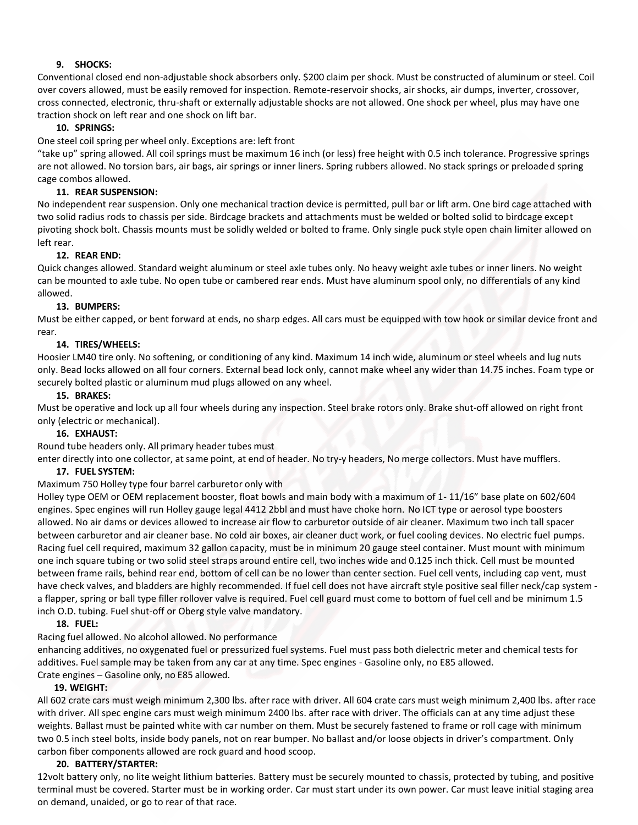# **9. SHOCKS:**

Conventional closed end non-adjustable shock absorbers only. \$200 claim per shock. Must be constructed of aluminum or steel. Coil over covers allowed, must be easily removed for inspection. Remote-reservoir shocks, air shocks, air dumps, inverter, crossover, cross connected, electronic, thru-shaft or externally adjustable shocks are not allowed. One shock per wheel, plus may have one traction shock on left rear and one shock on lift bar.

# **10. SPRINGS:**

One steel coil spring per wheel only. Exceptions are: left front

"take up" spring allowed. All coil springs must be maximum 16 inch (or less) free height with 0.5 inch tolerance. Progressive springs are not allowed. No torsion bars, air bags, air springs or inner liners. Spring rubbers allowed. No stack springs or preloaded spring cage combos allowed.

# **11. REAR SUSPENSION:**

No independent rear suspension. Only one mechanical traction device is permitted, pull bar or lift arm. One bird cage attached with two solid radius rods to chassis per side. Birdcage brackets and attachments must be welded or bolted solid to birdcage except pivoting shock bolt. Chassis mounts must be solidly welded or bolted to frame. Only single puck style open chain limiter allowed on left rear.

## **12. REAR END:**

Quick changes allowed. Standard weight aluminum or steel axle tubes only. No heavy weight axle tubes or inner liners. No weight can be mounted to axle tube. No open tube or cambered rear ends. Must have aluminum spool only, no differentials of any kind allowed.

## **13. BUMPERS:**

Must be either capped, or bent forward at ends, no sharp edges. All cars must be equipped with tow hook or similar device front and rear.

# **14. TIRES/WHEELS:**

Hoosier LM40 tire only. No softening, or conditioning of any kind. Maximum 14 inch wide, aluminum or steel wheels and lug nuts only. Bead locks allowed on all four corners. External bead lock only, cannot make wheel any wider than 14.75 inches. Foam type or securely bolted plastic or aluminum mud plugs allowed on any wheel.

# **15. BRAKES:**

Must be operative and lock up all four wheels during any inspection. Steel brake rotors only. Brake shut-off allowed on right front only (electric or mechanical).

## **16. EXHAUST:**

Round tube headers only. All primary header tubes must

enter directly into one collector, at same point, at end of header. No try-y headers, No merge collectors. Must have mufflers.

## **17. FUEL SYSTEM:**

## Maximum 750 Holley type four barrel carburetor only with

Holley type OEM or OEM replacement booster, float bowls and main body with a maximum of 1- 11/16" base plate on 602/604 engines. Spec engines will run Holley gauge legal 4412 2bbl and must have choke horn. No ICT type or aerosol type boosters allowed. No air dams or devices allowed to increase air flow to carburetor outside of air cleaner. Maximum two inch tall spacer between carburetor and air cleaner base. No cold air boxes, air cleaner duct work, or fuel cooling devices. No electric fuel pumps. Racing fuel cell required, maximum 32 gallon capacity, must be in minimum 20 gauge steel container. Must mount with minimum one inch square tubing or two solid steel straps around entire cell, two inches wide and 0.125 inch thick. Cell must be mounted between frame rails, behind rear end, bottom of cell can be no lower than center section. Fuel cell vents, including cap vent, must have check valves, and bladders are highly recommended. If fuel cell does not have aircraft style positive seal filler neck/cap system a flapper, spring or ball type filler rollover valve is required. Fuel cell guard must come to bottom of fuel cell and be minimum 1.5 inch O.D. tubing. Fuel shut-off or Oberg style valve mandatory.

## **18. FUEL:**

Racing fuel allowed. No alcohol allowed. No performance

enhancing additives, no oxygenated fuel or pressurized fuel systems. Fuel must pass both dielectric meter and chemical tests for additives. Fuel sample may be taken from any car at any time. Spec engines - Gasoline only, no E85 allowed. Crate engines – Gasoline only, no E85 allowed.

## **19. WEIGHT:**

All 602 crate cars must weigh minimum 2,300 lbs. after race with driver. All 604 crate cars must weigh minimum 2,400 lbs. after race with driver. All spec engine cars must weigh minimum 2400 lbs. after race with driver. The officials can at any time adjust these weights. Ballast must be painted white with car number on them. Must be securely fastened to frame or roll cage with minimum two 0.5 inch steel bolts, inside body panels, not on rear bumper. No ballast and/or loose objects in driver's compartment. Only carbon fiber components allowed are rock guard and hood scoop.

## **20. BATTERY/STARTER:**

12volt battery only, no lite weight lithium batteries. Battery must be securely mounted to chassis, protected by tubing, and positive terminal must be covered. Starter must be in working order. Car must start under its own power. Car must leave initial staging area on demand, unaided, or go to rear of that race.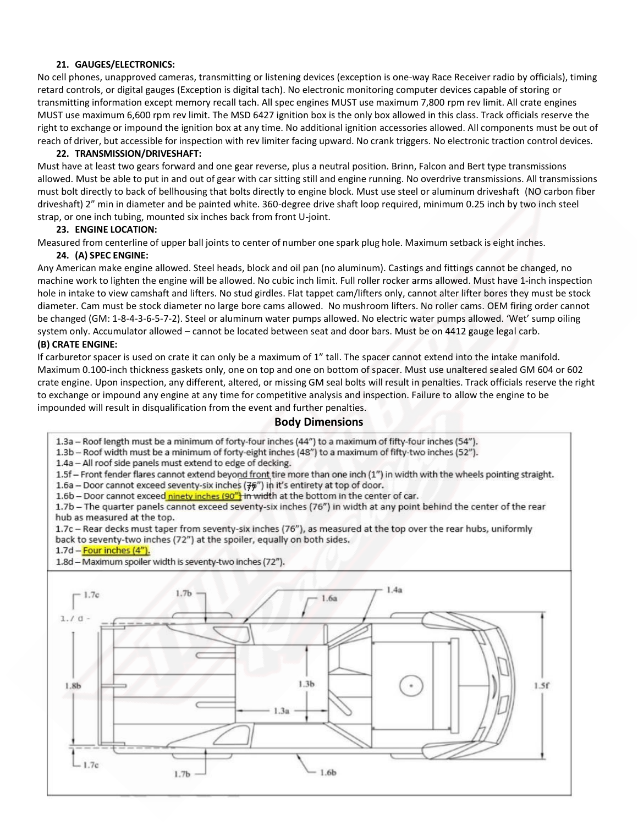# **21. GAUGES/ELECTRONICS:**

No cell phones, unapproved cameras, transmitting or listening devices (exception is one-way Race Receiver radio by officials), timing retard controls, or digital gauges (Exception is digital tach). No electronic monitoring computer devices capable of storing or transmitting information except memory recall tach. All spec engines MUST use maximum 7,800 rpm rev limit. All crate engines MUST use maximum 6,600 rpm rev limit. The MSD 6427 ignition box is the only box allowed in this class. Track officials reserve the right to exchange or impound the ignition box at any time. No additional ignition accessories allowed. All components must be out of reach of driver, but accessible for inspection with rev limiter facing upward. No crank triggers. No electronic traction control devices.

# **22. TRANSMISSION/DRIVESHAFT:**

Must have at least two gears forward and one gear reverse, plus a neutral position. Brinn, Falcon and Bert type transmissions allowed. Must be able to put in and out of gear with car sitting still and engine running. No overdrive transmissions. All transmissions must bolt directly to back of bellhousing that bolts directly to engine block. Must use steel or aluminum driveshaft (NO carbon fiber driveshaft) 2" min in diameter and be painted white. 360-degree drive shaft loop required, minimum 0.25 inch by two inch steel strap, or one inch tubing, mounted six inches back from front U-joint.

# **23. ENGINE LOCATION:**

Measured from centerline of upper ball joints to center of number one spark plug hole. Maximum setback is eight inches.

## **24. (A) SPEC ENGINE:**

Any American make engine allowed. Steel heads, block and oil pan (no aluminum). Castings and fittings cannot be changed, no machine work to lighten the engine will be allowed. No cubic inch limit. Full roller rocker arms allowed. Must have 1-inch inspection hole in intake to view camshaft and lifters. No stud girdles. Flat tappet cam/lifters only, cannot alter lifter bores they must be stock diameter. Cam must be stock diameter no large bore cams allowed. No mushroom lifters. No roller cams. OEM firing order cannot be changed (GM: 1-8-4-3-6-5-7-2). Steel or aluminum water pumps allowed. No electric water pumps allowed. 'Wet' sump oiling system only. Accumulator allowed – cannot be located between seat and door bars. Must be on 4412 gauge legal carb. **(B) CRATE ENGINE:**

If carburetor spacer is used on crate it can only be a maximum of 1" tall. The spacer cannot extend into the intake manifold. Maximum 0.100-inch thickness gaskets only, one on top and one on bottom of spacer. Must use unaltered sealed GM 604 or 602 crate engine. Upon inspection, any different, altered, or missing GM seal bolts will result in penalties. Track officials reserve the right to exchange or impound any engine at any time for competitive analysis and inspection. Failure to allow the engine to be impounded will result in disqualification from the event and further penalties.

# **Body Dimensions**